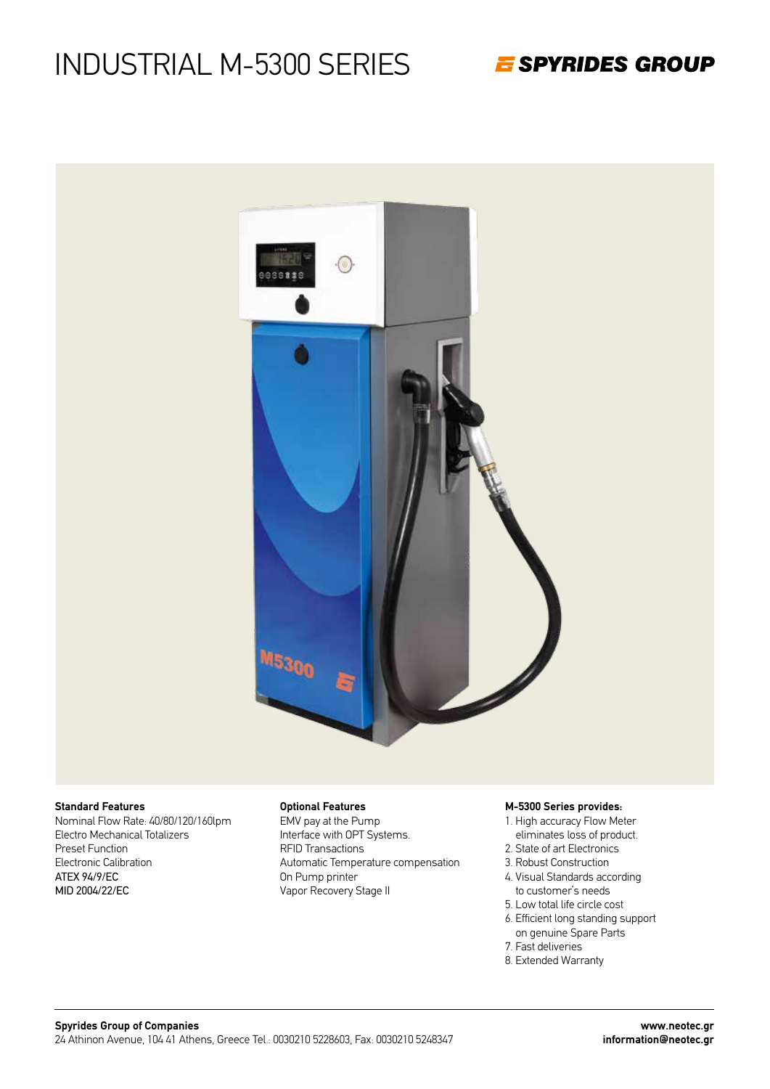E SPYRIDES GROUP



#### **Standard Features**

Nominal Flow Rate: 40/80/120/160lpm Electro Mechanical Totalizers Preset Function Electronic Calibration ATEX 94/9/EC MID 2004/22/EC

#### **Optional Features**

EMV pay at the Pump Interface with OPT Systems. RFID Transactions Automatic Temperature compensation On Pump printer Vapor Recovery Stage II

#### **M-5300 Series provides:**

- 1. High accuracy Flow Meter eliminates loss of product.
- 2. State of art Electronics
- 3. Robust Construction
- 4. Visual Standards according to customer's needs
- 5. Low total life circle cost
- 6. Efficient long standing support on genuine Spare Parts
- 7. Fast deliveries
- 8. Extended Warranty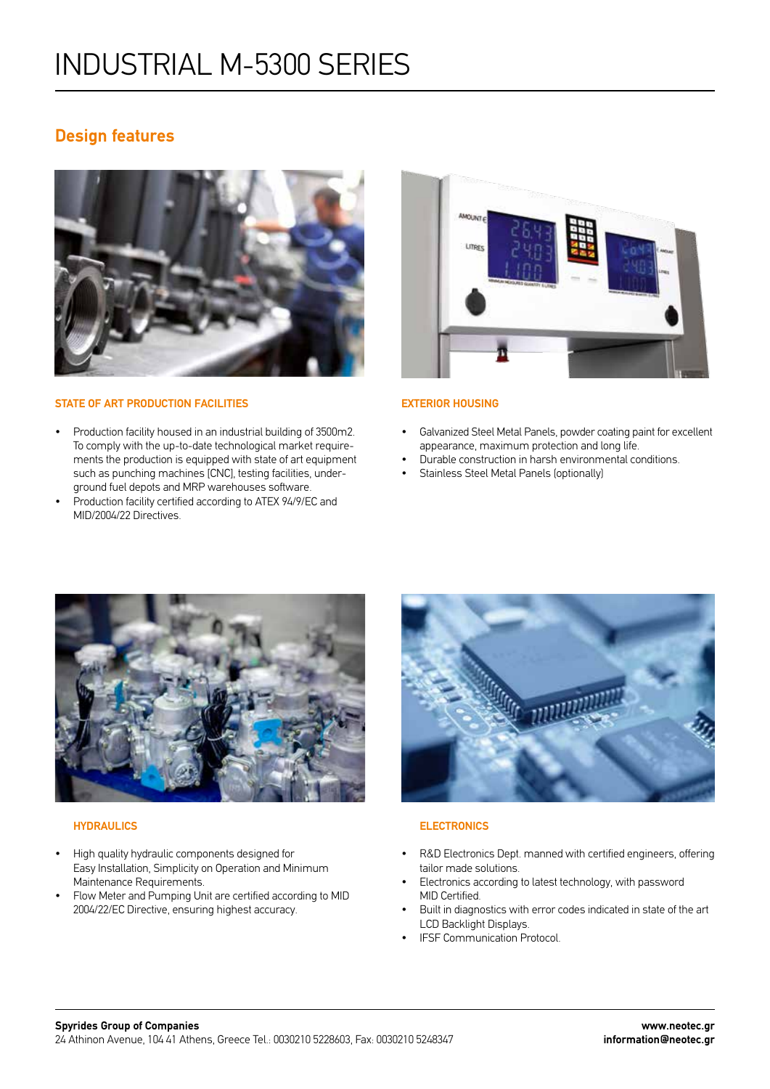### **Design features**



#### **STATE OF ART PRODUCTION FACILITIES**

- Production facility housed in an industrial building of 3500m2. To comply with the up-to-date technological market requirements the production is equipped with state of art equipment such as punching machines [CNC], testing facilities, underground fuel depots and MRP warehouses software.
- Production facility certified according to ATEX 94/9/EC and MID/2004/22 Directives.



#### **EXTERIOR HOUSING**

- Galvanized Steel Metal Panels, powder coating paint for excellent appearance, maximum protection and long life.
- Durable construction in harsh environmental conditions.
- Stainless Steel Metal Panels (optionally)



#### **HYDRAULICS**

- High quality hydraulic components designed for Easy Installation, Simplicity on Operation and Minimum Maintenance Requirements.
- Flow Meter and Pumping Unit are certified according to MID 2004/22/EC Directive, ensuring highest accuracy.



#### **ELECTRONICS**

- R&D Electronics Dept. manned with certified engineers, offering tailor made solutions.
- Electronics according to latest technology, with password MID Certified.
- Built in diagnostics with error codes indicated in state of the art LCD Backlight Displays.
- IFSF Communication Protocol.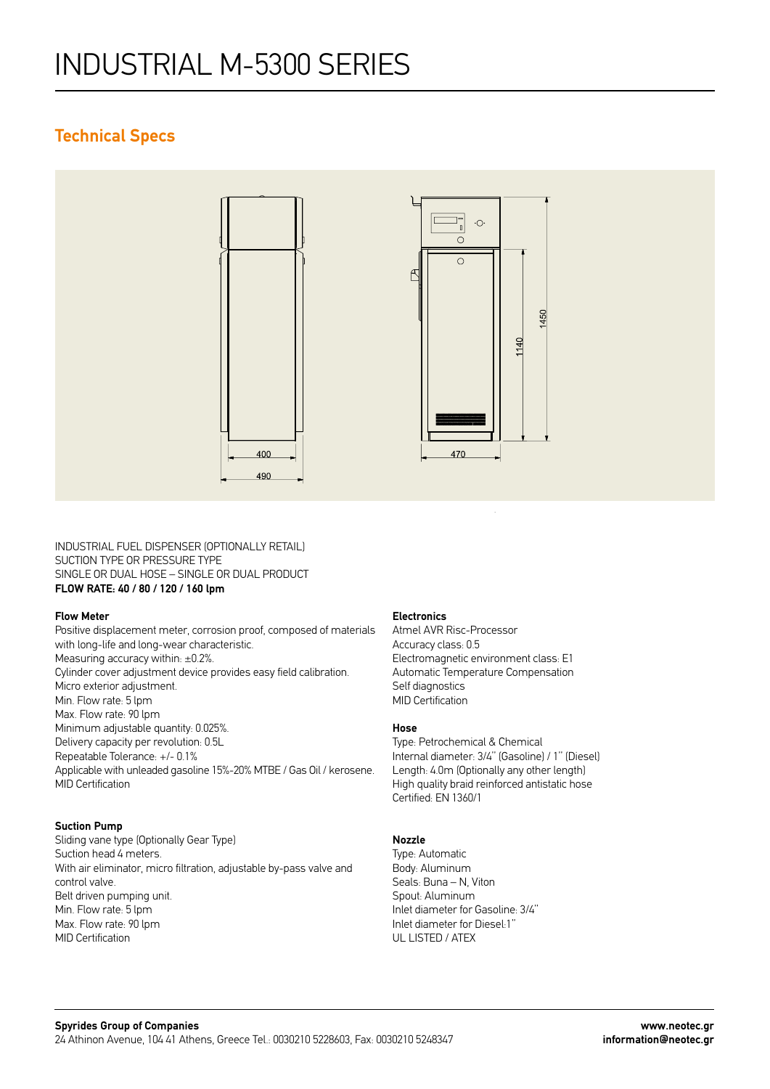### **Technical Specs**



INDUSTRIAL FUEL DISPENSER (OPTIONALLY RETAIL) SUCTION TYPE OR PRESSURE TYPE SINGLE OR DUAL HOSE – SINGLE OR DUAL PRODUCT **FLOW RATE: 40 / 80 / 120 / 160 lpm**

#### **Flow Meter**

Positive displacement meter, corrosion proof, composed of materials with long-life and long-wear characteristic. Measuring accuracy within: ±0.2%. Cylinder cover adjustment device provides easy field calibration. Micro exterior adjustment. Min. Flow rate: 5 lpm Max. Flow rate: 90 lpm Minimum adjustable quantity: 0.025%. Delivery capacity per revolution: 0.5L Repeatable Tolerance: +/- 0.1% Applicable with unleaded gasoline 15%-20% MTBE / Gas Oil / kerosene. MID Certification

#### **Suction Pump**

Sliding vane type (Optionally Gear Type) Suction head 4 meters. With air eliminator, micro filtration, adjustable by-pass valve and control valve. Belt driven pumping unit. Min. Flow rate: 5 lpm Max. Flow rate: 90 lpm MID Certification

#### **Electronics**

Atmel AVR Risc-Processor Accuracy class: 0.5 Electromagnetic environment class: E1 Automatic Temperature Compensation Self diagnostics MID Certification

### **Hose**

Type: Petrochemical & Chemical Internal diameter: 3/4'' (Gasoline) / 1'' (Diesel) Length: 4.0m (Optionally any other length) High quality braid reinforced antistatic hose Certified: EN 1360/1

#### **Nozzle**

Type: Automatic Body: Aluminum Seals: Buna – N, Viton Spout: Aluminum Inlet diameter for Gasoline: 3/4'' Inlet diameter for Diesel:1'' UL LISTED / ATEX